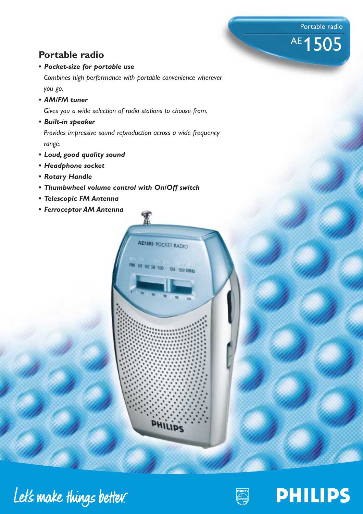Portable radio

AE 1505

# **Portable radio**

## *• Pocket-size for portable use*

*Combines high performance with portable convenience wherever you go.*

*• AM/FM tuner*

*Gives you a wide selection of radio stations to choose from.*

*• Built-in speaker*

*Provides impressive sound reproduction across a wide frequency range.*

AE1505 POCKET RADIO

**PHILIPS** 

92 96 100

104 108 MHz

- *Loud, good quality sound*
- *Headphone socket*
- *Rotary Handle*
- *Thumbwheel volume control with On/Off switch*
- *Telescopic FM Antenna*
- *Ferroceptor AM Antenna*





**PHILIPS**